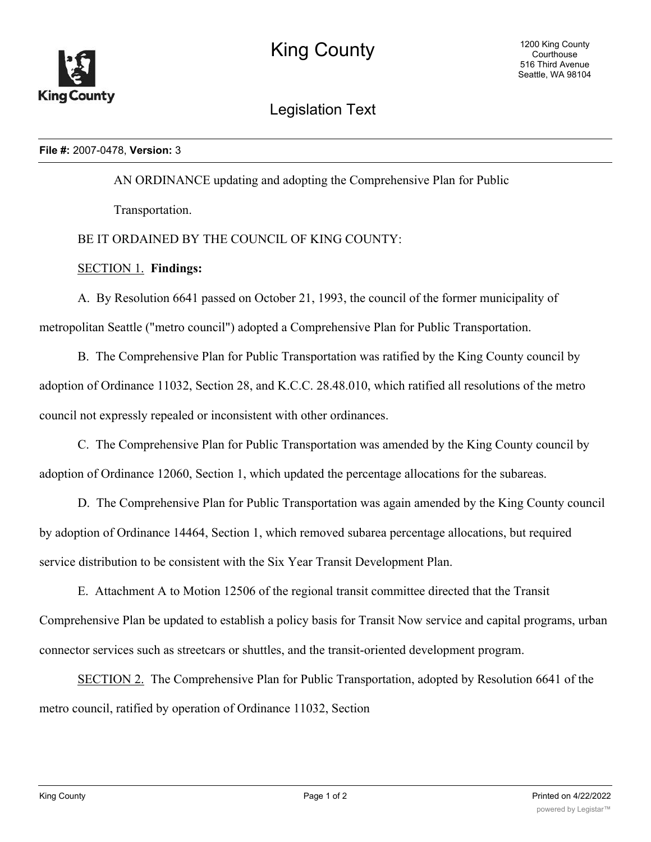

Legislation Text

## **File #:** 2007-0478, **Version:** 3

AN ORDINANCE updating and adopting the Comprehensive Plan for Public

Transportation.

## BE IT ORDAINED BY THE COUNCIL OF KING COUNTY:

## SECTION 1. **Findings:**

A. By Resolution 6641 passed on October 21, 1993, the council of the former municipality of metropolitan Seattle ("metro council") adopted a Comprehensive Plan for Public Transportation.

B. The Comprehensive Plan for Public Transportation was ratified by the King County council by adoption of Ordinance 11032, Section 28, and K.C.C. 28.48.010, which ratified all resolutions of the metro council not expressly repealed or inconsistent with other ordinances.

C. The Comprehensive Plan for Public Transportation was amended by the King County council by adoption of Ordinance 12060, Section 1, which updated the percentage allocations for the subareas.

D. The Comprehensive Plan for Public Transportation was again amended by the King County council by adoption of Ordinance 14464, Section 1, which removed subarea percentage allocations, but required service distribution to be consistent with the Six Year Transit Development Plan.

E. Attachment A to Motion 12506 of the regional transit committee directed that the Transit Comprehensive Plan be updated to establish a policy basis for Transit Now service and capital programs, urban connector services such as streetcars or shuttles, and the transit-oriented development program.

SECTION 2. The Comprehensive Plan for Public Transportation, adopted by Resolution 6641 of the metro council, ratified by operation of Ordinance 11032, Section